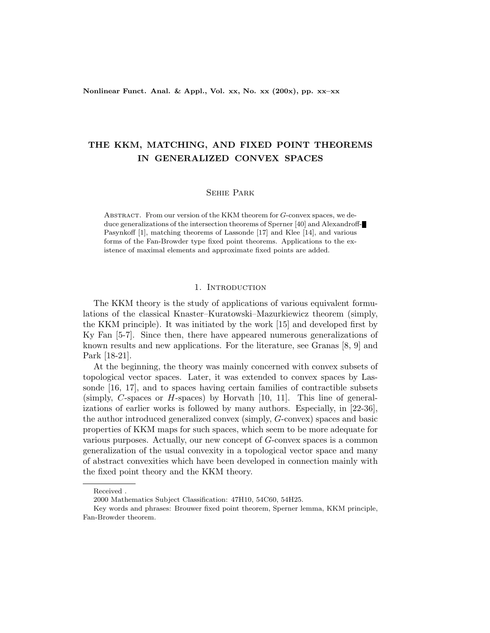Nonlinear Funct. Anal. & Appl., Vol. xx, No. xx (200x), pp. xx–xx

# THE KKM, MATCHING, AND FIXED POINT THEOREMS IN GENERALIZED CONVEX SPACES

## Sehie Park

ABSTRACT. From our version of the KKM theorem for G-convex spaces, we deduce generalizations of the intersection theorems of Sperner [40] and Alexandroff-Pasynkoff [1], matching theorems of Lassonde [17] and Klee [14], and various forms of the Fan-Browder type fixed point theorems. Applications to the existence of maximal elements and approximate fixed points are added.

## 1. INTRODUCTION

The KKM theory is the study of applications of various equivalent formulations of the classical Knaster–Kuratowski–Mazurkiewicz theorem (simply, the KKM principle). It was initiated by the work [15] and developed first by Ky Fan [5-7]. Since then, there have appeared numerous generalizations of known results and new applications. For the literature, see Granas [8, 9] and Park [18-21].

At the beginning, the theory was mainly concerned with convex subsets of topological vector spaces. Later, it was extended to convex spaces by Lassonde [16, 17], and to spaces having certain families of contractible subsets (simply, C-spaces or H-spaces) by Horvath  $[10, 11]$ . This line of generalizations of earlier works is followed by many authors. Especially, in [22-36], the author introduced generalized convex (simply, G-convex) spaces and basic properties of KKM maps for such spaces, which seem to be more adequate for various purposes. Actually, our new concept of G-convex spaces is a common generalization of the usual convexity in a topological vector space and many of abstract convexities which have been developed in connection mainly with the fixed point theory and the KKM theory.

Received .

<sup>2000</sup> Mathematics Subject Classification: 47H10, 54C60, 54H25.

Key words and phrases: Brouwer fixed point theorem, Sperner lemma, KKM principle, Fan-Browder theorem.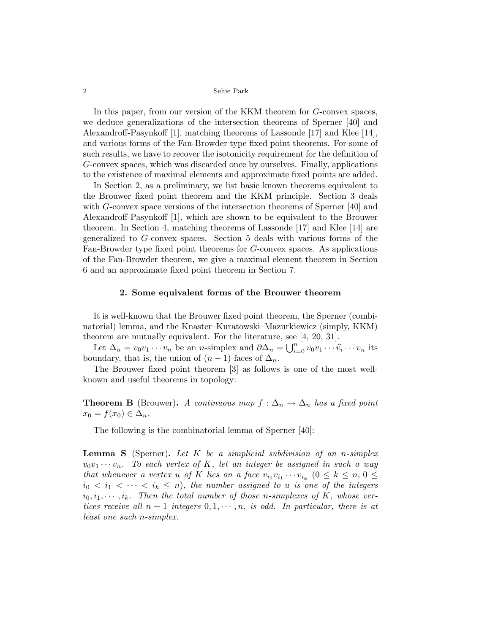In this paper, from our version of the KKM theorem for G-convex spaces, we deduce generalizations of the intersection theorems of Sperner [40] and Alexandroff-Pasynkoff [1], matching theorems of Lassonde [17] and Klee [14], and various forms of the Fan-Browder type fixed point theorems. For some of such results, we have to recover the isotonicity requirement for the definition of G-convex spaces, which was discarded once by ourselves. Finally, applications to the existence of maximal elements and approximate fixed points are added.

In Section 2, as a preliminary, we list basic known theorems equivalent to the Brouwer fixed point theorem and the KKM principle. Section 3 deals with G-convex space versions of the intersection theorems of Sperner [40] and Alexandroff-Pasynkoff [1], which are shown to be equivalent to the Brouwer theorem. In Section 4, matching theorems of Lassonde [17] and Klee [14] are generalized to G-convex spaces. Section 5 deals with various forms of the Fan-Browder type fixed point theorems for G-convex spaces. As applications of the Fan-Browder theorem, we give a maximal element theorem in Section 6 and an approximate fixed point theorem in Section 7.

## 2. Some equivalent forms of the Brouwer theorem

It is well-known that the Brouwer fixed point theorem, the Sperner (combinatorial) lemma, and the Knaster–Kuratowski–Mazurkiewicz (simply, KKM) theorem are mutually equivalent. For the literature, see [4, 20, 31].

Let  $\Delta_n = v_0 v_1 \cdots v_n$  be an *n*-simplex and  $\partial \Delta_n = \bigcup_{i=1}^n$  $\sum_{i=0}^n v_0 v_1 \cdots \widehat{v_i} \cdots v_n$  its boundary, that is, the union of  $(n-1)$ -faces of  $\Delta_n$ .

The Brouwer fixed point theorem [3] as follows is one of the most wellknown and useful theorems in topology:

**Theorem B** (Brouwer). A continuous map  $f : \Delta_n \to \Delta_n$  has a fixed point  $x_0 = f(x_0) \in \Delta_n$ .

The following is the combinatorial lemma of Sperner [40]:

**Lemma S** (Sperner). Let  $K$  be a simplicial subdivision of an n-simplex  $v_0v_1\cdots v_n$ . To each vertex of K, let an integer be assigned in such a way that whenever a vertex u of K lies on a face  $v_{i_0}v_{i_1}\cdots v_{i_k}$   $(0 \leq k \leq n, 0 \leq$  $i_0 < i_1 < \cdots < i_k \leq n$ , the number assigned to u is one of the integers  $i_0, i_1, \dots, i_k$ . Then the total number of those n-simplexes of K, whose vertices receive all  $n + 1$  integers  $0, 1, \dots, n$ , is odd. In particular, there is at least one such n-simplex.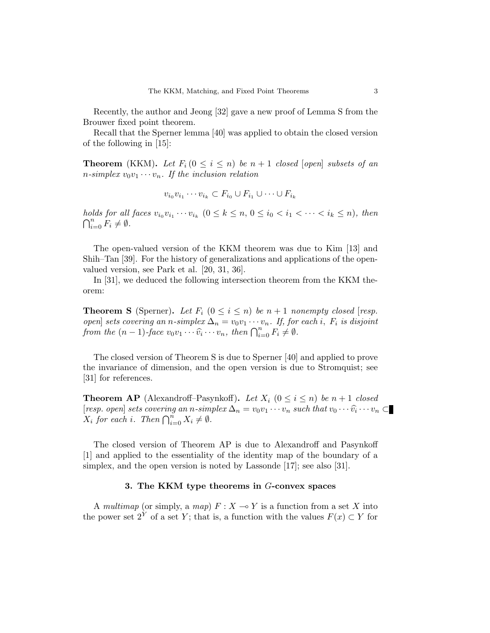Recently, the author and Jeong [32] gave a new proof of Lemma S from the Brouwer fixed point theorem.

Recall that the Sperner lemma [40] was applied to obtain the closed version of the following in [15]:

**Theorem** (KKM). Let  $F_i$  ( $0 \le i \le n$ ) be  $n+1$  closed [open] subsets of an *n*-simplex  $v_0v_1 \cdots v_n$ . If the inclusion relation

$$
v_{i_0}v_{i_1}\cdots v_{i_k}\subset F_{i_0}\cup F_{i_1}\cup\cdots\cup F_{i_k}
$$

holds for all faces  $v_{i_0}v_{i_1}\cdots v_{i_k}$   $(0 \le k \le n, 0 \le i_0 < i_1 < \cdots < i_k \le n)$ , then  $\bigcap_{i=0}^n F_i \neq \emptyset$ .

The open-valued version of the KKM theorem was due to Kim [13] and Shih–Tan [39]. For the history of generalizations and applications of the openvalued version, see Park et al. [20, 31, 36].

In [31], we deduced the following intersection theorem from the KKM theorem:

**Theorem S** (Sperner). Let  $F_i$   $(0 \leq i \leq n)$  be  $n+1$  nonempty closed [resp. open] sets covering an n-simplex  $\Delta_n = v_0 v_1 \cdots v_n$ . If, for each i,  $F_i$  is disjoint  $[for]$  sets covering an n-simplex  $\Delta_n = v_0v_1 \cdots v_n$ . If, for from the  $(n-1)$ -face  $v_0v_1 \cdots \widehat{v_i} \cdots v_n$ , then  $\bigcap_{i=0}^n F_i \neq \emptyset$ .

The closed version of Theorem S is due to Sperner [40] and applied to prove the invariance of dimension, and the open version is due to Stromquist; see [31] for references.

**Theorem AP** (Alexandroff–Pasynkoff). Let  $X_i$  ( $0 \le i \le n$ ) be  $n+1$  closed [resp. open] sets covering an n-simplex  $\Delta_n = v_0v_1 \cdots v_n$  such that  $v_0 \cdots \widehat{v}_i \cdots v_n \subset$ *Tesp. open sets covering an n-sum*  $X_i$  for each i. Then  $\bigcap_{i=0}^n X_i \neq \emptyset$ .

The closed version of Theorem AP is due to Alexandroff and Pasynkoff [1] and applied to the essentiality of the identity map of the boundary of a simplex, and the open version is noted by Lassonde [17]; see also [31].

## 3. The KKM type theorems in G-convex spaces

A multimap (or simply, a map)  $F: X \to Y$  is a function from a set X into the power set  $2^Y$  of a set Y; that is, a function with the values  $F(x) \subset Y$  for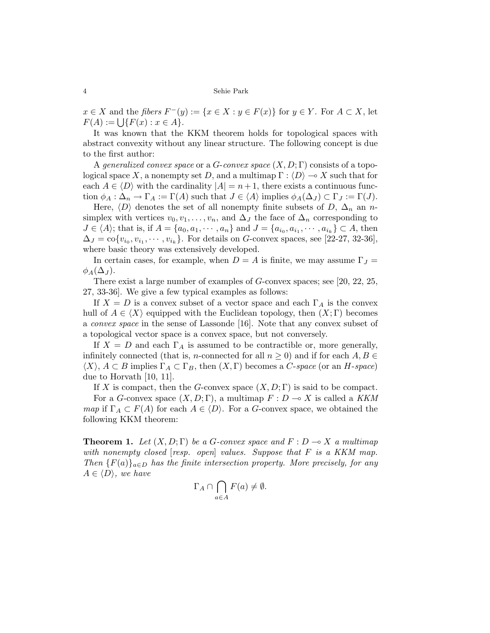$x \in X$  and the fibers  $F^-(y) := \{x \in X : y \in F(x)\}\$ for  $y \in Y$ . For  $A \subset X$ , let  $x \in X$  and the *floers F* (y<br> $F(A) := \bigcup \{F(x) : x \in A\}.$ 

It was known that the KKM theorem holds for topological spaces with abstract convexity without any linear structure. The following concept is due to the first author:

A generalized convex space or a G-convex space  $(X, D; \Gamma)$  consists of a topological space X, a nonempty set D, and a multimap  $\Gamma : \langle D \rangle \longrightarrow X$  such that for each  $A \in \langle D \rangle$  with the cardinality  $|A| = n + 1$ , there exists a continuous function  $\phi_A : \Delta_n \to \Gamma_A := \Gamma(A)$  such that  $J \in \langle A \rangle$  implies  $\phi_A(\Delta_J) \subset \Gamma_J := \Gamma(J)$ .

Here,  $\langle D \rangle$  denotes the set of all nonempty finite subsets of D,  $\Delta_n$  an nsimplex with vertices  $v_0, v_1, \ldots, v_n$ , and  $\Delta_J$  the face of  $\Delta_n$  corresponding to  $J \in \langle A \rangle$ ; that is, if  $A = \{a_0, a_1, \dots, a_n\}$  and  $J = \{a_{i_0}, a_{i_1}, \dots, a_{i_k}\} \subset A$ , then  $\Delta_J = \text{co}\{v_{i_0}, v_{i_1}, \cdots, v_{i_k}\}.$  For details on G-convex spaces, see [22-27, 32-36], where basic theory was extensively developed.

In certain cases, for example, when  $D = A$  is finite, we may assume  $\Gamma_J =$  $\phi_A(\Delta_J)$ .

There exist a large number of examples of G-convex spaces; see [20, 22, 25, 27, 33-36]. We give a few typical examples as follows:

If  $X = D$  is a convex subset of a vector space and each  $\Gamma_A$  is the convex hull of  $A \in \langle X \rangle$  equipped with the Euclidean topology, then  $(X; \Gamma)$  becomes a convex space in the sense of Lassonde [16]. Note that any convex subset of a topological vector space is a convex space, but not conversely.

If  $X = D$  and each  $\Gamma_A$  is assumed to be contractible or, more generally, infinitely connected (that is, *n*-connected for all  $n \geq 0$ ) and if for each  $A, B \in$  $\langle X \rangle$ ,  $A \subset B$  implies  $\Gamma_A \subset \Gamma_B$ , then  $(X, \Gamma)$  becomes a C-space (or an H-space) due to Horvath [10, 11].

If X is compact, then the G-convex space  $(X, D; \Gamma)$  is said to be compact.

For a G-convex space  $(X, D; \Gamma)$ , a multimap  $F: D \to X$  is called a KKM map if  $\Gamma_A \subset F(A)$  for each  $A \in \langle D \rangle$ . For a G-convex space, we obtained the following KKM theorem:

**Theorem 1.** Let  $(X, D; \Gamma)$  be a G-convex space and  $F: D \to X$  a multimap with nonempty closed  $[resp. open]$  values. Suppose that  $F$  is a KKM map. Then  ${F(a)}_{a\in D}$  has the finite intersection property. More precisely, for any  $A \in \langle D \rangle$ , we have  $\sim$ 

$$
\Gamma_A \cap \bigcap_{a \in A} F(a) \neq \emptyset.
$$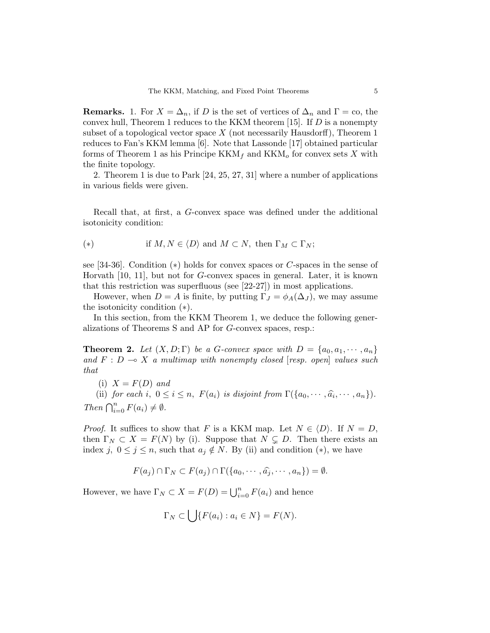**Remarks.** 1. For  $X = \Delta_n$ , if D is the set of vertices of  $\Delta_n$  and  $\Gamma = \infty$ , the convex hull, Theorem 1 reduces to the KKM theorem [15]. If  $D$  is a nonempty subset of a topological vector space  $X$  (not necessarily Hausdorff), Theorem 1 reduces to Fan's KKM lemma [6]. Note that Lassonde [17] obtained particular forms of Theorem 1 as his Principe  $KKM_f$  and  $KKM_o$  for convex sets X with the finite topology.

2. Theorem 1 is due to Park [24, 25, 27, 31] where a number of applications in various fields were given.

Recall that, at first, a G-convex space was defined under the additional isotonicity condition:

$$
(*) \t\t if M, N \in \langle D \rangle \text{ and } M \subset N, \text{ then } \Gamma_M \subset \Gamma_N;
$$

see [34-36]. Condition (∗) holds for convex spaces or C-spaces in the sense of Horvath [10, 11], but not for G-convex spaces in general. Later, it is known that this restriction was superfluous (see [22-27]) in most applications.

However, when  $D = A$  is finite, by putting  $\Gamma_J = \phi_A(\Delta_J)$ , we may assume the isotonicity condition (∗).

In this section, from the KKM Theorem 1, we deduce the following generalizations of Theorems S and AP for G-convex spaces, resp.:

**Theorem 2.** Let  $(X, D; \Gamma)$  be a G-convex space with  $D = \{a_0, a_1, \dots, a_n\}$ and  $F : D \multimap X$  a multimap with nonempty closed [resp. open] values such that

(i)  $X = F(D)$  and

(ii) for each i,  $0 \leq i \leq n$ ,  $F(a_i)$  is disjoint from  $\Gamma({a_0, \cdots, \widehat{a_i}, \cdots, a_n}).$ Then  $\bigcap_{i=0}^{n} F(a_i) \neq \emptyset$ .

*Proof.* It suffices to show that F is a KKM map. Let  $N \in \langle D \rangle$ . If  $N = D$ , then  $\Gamma_N \subset X = F(N)$  by (i). Suppose that  $N \subsetneq D$ . Then there exists an index j,  $0 \leq j \leq n$ , such that  $a_j \notin N$ . By (ii) and condition (\*), we have

$$
F(a_j) \cap \Gamma_N \subset F(a_j) \cap \Gamma(\{a_0, \cdots, \widehat{a_j}, \cdots, a_n\}) = \emptyset.
$$

However, we have  $\Gamma_N \subset X = F(D) = \bigcup_{i=0}^n F(a_i)$  and hence

$$
\Gamma_N \subset \bigcup \{ F(a_i) : a_i \in N \} = F(N).
$$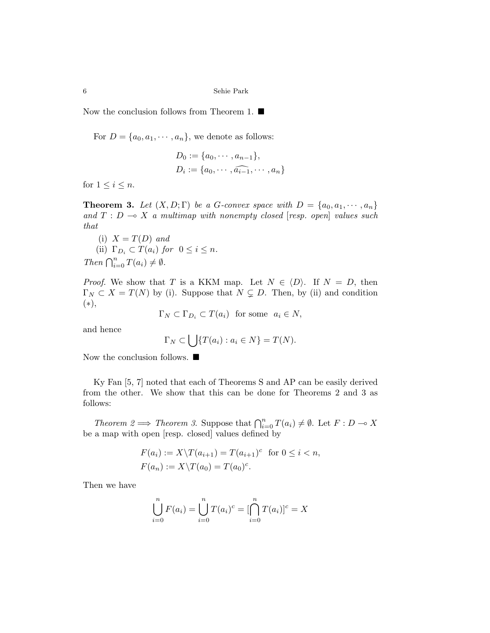Now the conclusion follows from Theorem 1.  $\blacksquare$ 

For  $D = \{a_0, a_1, \dots, a_n\}$ , we denote as follows:

$$
D_0 := \{a_0, \cdots, a_{n-1}\},
$$
  

$$
D_i := \{a_0, \cdots, \widehat{a_{i-1}}, \cdots, a_n\}
$$

for  $1 \leq i \leq n$ .

**Theorem 3.** Let  $(X, D; \Gamma)$  be a G-convex space with  $D = \{a_0, a_1, \dots, a_n\}$ and  $T : D \multimap X$  a multimap with nonempty closed [resp. open] values such that

(i)  $X = T(D)$  and (ii)  $\Gamma_{D_i} \subset T(a_i)$  for  $0 \leq i \leq n$ . Then  $\bigcap_{i=0}^{n} T(a_i) \neq \emptyset$ .

*Proof.* We show that T is a KKM map. Let  $N \in \langle D \rangle$ . If  $N = D$ , then  $\Gamma_N \subset X = T(N)$  by (i). Suppose that  $N \subsetneq D$ . Then, by (ii) and condition (∗),

 $\Gamma_N \subset \Gamma_{D_i} \subset T(a_i)$  for some  $a_i \in N$ ,

and hence

$$
\Gamma_N \subset \left\{ \left| \int \{T(a_i) : a_i \in N \} = T(N) \right. \right\}
$$

Now the conclusion follows.  $\blacksquare$ 

Ky Fan [5, 7] noted that each of Theorems S and AP can be easily derived from the other. We show that this can be done for Theorems 2 and 3 as follows:

Theorem  $2 \implies$  Theorem 3. Suppose that  $\bigcap_{i=0}^{n} T(a_i) \neq \emptyset$ . Let  $F: D \to X$ be a map with open [resp. closed] values defined by

$$
F(a_i) := X \backslash T(a_{i+1}) = T(a_{i+1})^c \text{ for } 0 \le i < n,
$$
  

$$
F(a_n) := X \backslash T(a_0) = T(a_0)^c.
$$

Then we have

$$
\bigcup_{i=0}^{n} F(a_i) = \bigcup_{i=0}^{n} T(a_i)^c = [\bigcap_{i=0}^{n} T(a_i)]^c = X
$$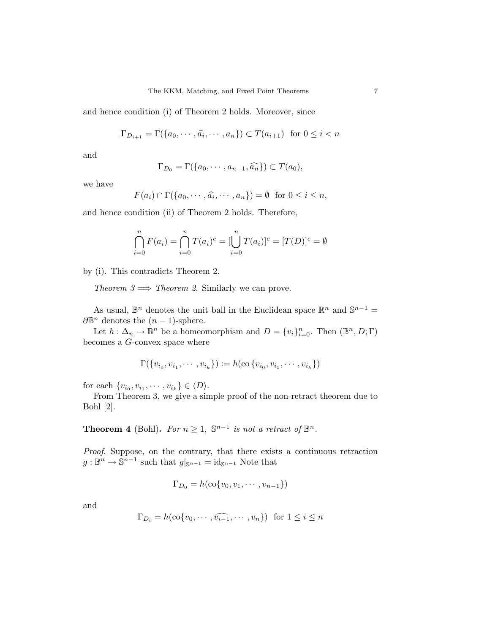and hence condition (i) of Theorem 2 holds. Moreover, since

$$
\Gamma_{D_{i+1}} = \Gamma(\{a_0, \cdots, \widehat{a_i}, \cdots, a_n\}) \subset T(a_{i+1}) \text{ for } 0 \le i < n
$$

and

$$
\Gamma_{D_0} = \Gamma(\{a_0, \cdots, a_{n-1}, \widehat{a_n}\}) \subset T(a_0),
$$

we have

$$
F(a_i) \cap \Gamma(\{a_0, \cdots, \widehat{a_i}, \cdots, a_n\}) = \emptyset \text{ for } 0 \le i \le n,
$$

and hence condition (ii) of Theorem 2 holds. Therefore,

$$
\bigcap_{i=0}^{n} F(a_i) = \bigcap_{i=0}^{n} T(a_i)^c = [\bigcup_{i=0}^{n} T(a_i)]^c = [T(D)]^c = \emptyset
$$

by (i). This contradicts Theorem 2.

Theorem  $3 \implies$  Theorem 2. Similarly we can prove.

As usual,  $\mathbb{B}^n$  denotes the unit ball in the Euclidean space  $\mathbb{R}^n$  and  $\mathbb{S}^{n-1}$  =  $\partial \mathbb{B}^n$  denotes the  $(n-1)$ -sphere.

Let  $h: \Delta_n \to \mathbb{B}^n$  be a homeomorphism and  $D = \{v_i\}_{i=0}^n$ . Then  $(\mathbb{B}^n, D; \Gamma)$ becomes a G-convex space where

$$
\Gamma(\{v_{i_0}, v_{i_1}, \cdots, v_{i_k}\}) := h(\text{co}\{v_{i_0}, v_{i_1}, \cdots, v_{i_k}\})
$$

for each  $\{v_{i_0}, v_{i_1}, \cdots, v_{i_k}\} \in \langle D \rangle$ .

From Theorem 3, we give a simple proof of the non-retract theorem due to Bohl [2].

**Theorem 4** (Bohl). For  $n \geq 1$ ,  $\mathbb{S}^{n-1}$  is not a retract of  $\mathbb{B}^n$ .

Proof. Suppose, on the contrary, that there exists a continuous retraction  $g: \mathbb{B}^n \to \mathbb{S}^{n-1}$  such that  $g|_{\mathbb{S}^{n-1}} = \mathrm{id}_{\mathbb{S}^{n-1}}$  Note that

$$
\Gamma_{D_0}=h(\mathrm{co}\{v_0,v_1,\cdots,v_{n-1}\})
$$

and

$$
\Gamma_{D_i} = h(\text{co}\{v_0, \cdots, \widehat{v_{i-1}}, \cdots, v_n\}) \text{ for } 1 \le i \le n
$$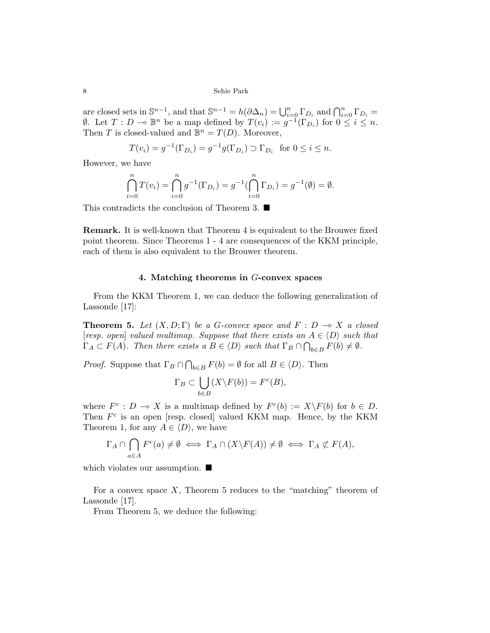are closed sets in  $\mathbb{S}^{n-1}$ , and that  $\mathbb{S}^{n-1} = h(\partial \Delta_n) = \bigcup_{i=0}^n \Gamma_{D_i}$  and  $\bigcap_{i=0}^n \Gamma_{D_i} =$  $\emptyset$ . Let  $T: D \multimap \mathbb{B}^n$  be a map defined by  $T(v_i) := g^{-1}(\Gamma_{D_i})$  for  $0 \leq i \leq n$ . Then T is closed-valued and  $\mathbb{B}^n = T(D)$ . Moreover,

$$
T(v_i) = g^{-1}(\Gamma_{D_i}) = g^{-1}g(\Gamma_{D_i}) \supset \Gamma_{D_i}
$$
 for  $0 \le i \le n$ .

However, we have

$$
\bigcap_{i=0}^{n} T(v_i) = \bigcap_{i=0}^{n} g^{-1}(\Gamma_{D_i}) = g^{-1}(\bigcap_{i=0}^{n} \Gamma_{D_i}) = g^{-1}(\emptyset) = \emptyset.
$$

This contradicts the conclusion of Theorem 3.  $\blacksquare$ 

Remark. It is well-known that Theorem 4 is equivalent to the Brouwer fixed point theorem. Since Theorems 1 - 4 are consequences of the KKM principle, each of them is also equivalent to the Brouwer theorem.

## 4. Matching theorems in G-convex spaces

From the KKM Theorem 1, we can deduce the following generalization of Lassonde [17]:

**Theorem 5.** Let  $(X, D; \Gamma)$  be a G-convex space and  $F : D \to X$  a closed [resp. open] valued multimap. Suppose that there exists an  $A \in \langle D \rangle$  such that  $\Gamma_A \subset F(A)$ . Then there exists a  $B \in \langle D \rangle$  such that  $\Gamma_B \cap \bigcap_{b \in B} F(b) \neq \emptyset$ .

*Proof.* Suppose that  $\Gamma_B \cap$  $\overline{a}$  $b\in B$   $F(b) = \emptyset$  for all  $B \in \langle D \rangle$ . Then

$$
\Gamma_B \subset \bigcup_{b \in B} (X \backslash F(b)) = F^c(B),
$$

where  $F^c: D \multimap X$  is a multimap defined by  $F^c(b) := X \backslash F(b)$  for  $b \in D$ . Then  $F<sup>c</sup>$  is an open [resp. closed] valued KKM map. Hence, by the KKM Theorem 1, for any  $A \in \langle D \rangle$ , we have

$$
\Gamma_A \cap \bigcap_{a \in A} F^c(a) \neq \emptyset \iff \Gamma_A \cap (X \backslash F(A)) \neq \emptyset \iff \Gamma_A \nsubseteq F(A),
$$

which violates our assumption.  $\blacksquare$ 

For a convex space  $X$ , Theorem 5 reduces to the "matching" theorem of Lassonde [17].

From Theorem 5, we deduce the following: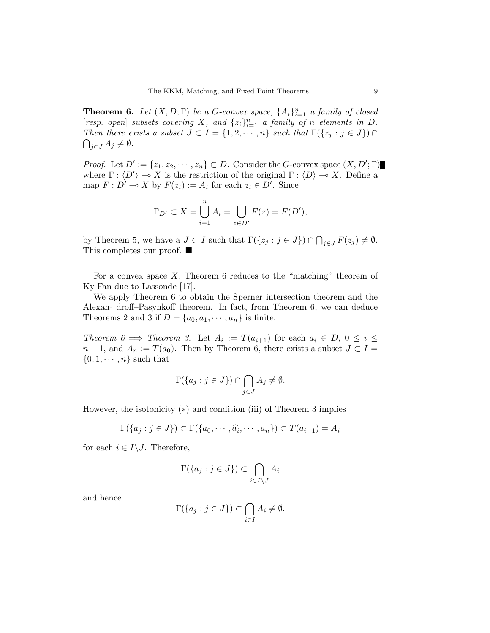**Theorem 6.** Let  $(X, D; \Gamma)$  be a G-convex space,  $\{A_i\}_{i=1}^n$  a family of closed [resp. open] subsets covering X, and  $\{z_i\}_{i=1}^n$  a family of n elements in D. Then there exists a subset  $J \subset I = \{1, 2, \dots, n\}$  such that  $\Gamma(\{z_j : j \in J\}) \cap$  $\bigcap_{j\in J} A_j \neq \emptyset$ .

*Proof.* Let  $D' := \{z_1, z_2, \dots, z_n\} \subset D$ . Consider the G-convex space  $(X, D'; \Gamma)$ where  $\Gamma : \langle D' \rangle \to X$  is the restriction of the original  $\Gamma : \langle D \rangle \to X$ . Define a map  $F: D' \to X$  by  $F(z_i) := A_i$  for each  $z_i \in D'$ . Since

$$
\Gamma_{D'} \subset X = \bigcup_{i=1}^{n} A_i = \bigcup_{z \in D'} F(z) = F(D'),
$$

by Theorem 5, we have a  $J \subset I$  such that  $\Gamma(\{z_j : j \in J\}) \cap$  $\overline{a}$  $_{j\in J} F(z_j) \neq \emptyset.$ This completes our proof.  $\blacksquare$ 

For a convex space  $X$ , Theorem 6 reduces to the "matching" theorem of Ky Fan due to Lassonde [17].

We apply Theorem 6 to obtain the Sperner intersection theorem and the Alexan- droff–Pasynkoff theorem. In fact, from Theorem 6, we can deduce Theorems 2 and 3 if  $D = \{a_0, a_1, \dots, a_n\}$  is finite:

Theorem 6  $\implies$  Theorem 3. Let  $A_i := T(a_{i+1})$  for each  $a_i \in D, 0 \leq i \leq j$  $n-1$ , and  $A_n := T(a_0)$ . Then by Theorem 6, there exists a subset  $J \subset I =$  $\{0, 1, \cdots, n\}$  such that

$$
\Gamma(\{a_j : j \in J\}) \cap \bigcap_{j \in J} A_j \neq \emptyset.
$$

However, the isotonicity (∗) and condition (iii) of Theorem 3 implies

$$
\Gamma(\{a_j : j \in J\}) \subset \Gamma(\{a_0, \cdots, \widehat{a_i}, \cdots, a_n\}) \subset T(a_{i+1}) = A_i
$$

for each  $i \in I \backslash J$ . Therefore,

$$
\Gamma(\{a_j : j \in J\}) \subset \bigcap_{i \in I \setminus J} A_i
$$

and hence

$$
\Gamma(\{a_j : j \in J\}) \subset \bigcap_{i \in I} A_i \neq \emptyset.
$$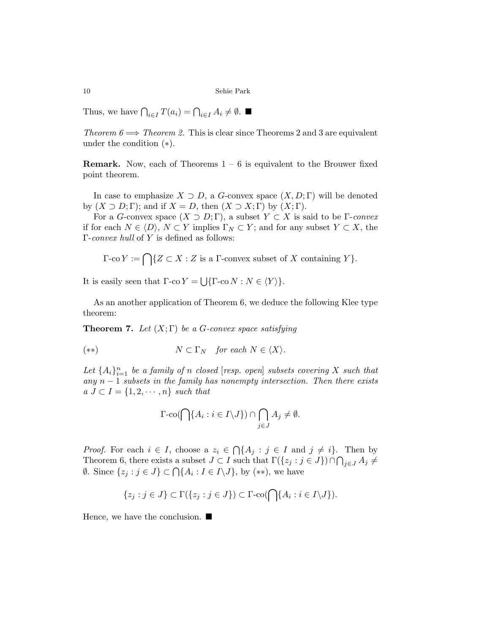Thus, we have  $\bigcap_{i\in I} T(a_i) = \bigcap_{i\in I} A_i \neq \emptyset$ .

Theorem  $6 \Longrightarrow$  Theorem 2. This is clear since Theorems 2 and 3 are equivalent under the condition (∗).

**Remark.** Now, each of Theorems  $1 - 6$  is equivalent to the Brouwer fixed point theorem.

In case to emphasize  $X \supset D$ , a G-convex space  $(X, D; \Gamma)$  will be denoted by  $(X \supset D; \Gamma)$ ; and if  $X = D$ , then  $(X \supset X; \Gamma)$  by  $(X; \Gamma)$ .

For a G-convex space  $(X \supset D; \Gamma)$ , a subset  $Y \subset X$  is said to be  $\Gamma$ -convex if for each  $N \in \langle D \rangle$ ,  $N \subset Y$  implies  $\Gamma_N \subset Y$ ; and for any subset  $Y \subset X$ , the Γ-convex hull of Y is defined as follows:

$$
\Gamma\text{-co }Y := \bigcap \{ Z \subset X : Z \text{ is a } \Gamma\text{-convex subset of } X \text{ containing } Y \}.
$$

It is easily seen that  $\Gamma$ -co  $Y =$ S  $\{\Gamma$ -co  $N : N \in \langle Y \rangle\}.$ 

As an another application of Theorem 6, we deduce the following Klee type theorem:

**Theorem 7.** Let  $(X;\Gamma)$  be a G-convex space satisfying

$$
(*) \t\t N \subset \Gamma_N \quad for each N \in \langle X \rangle.
$$

Let  $\{A_i\}_{i=1}^n$  be a family of n closed [resp. open] subsets covering X such that any  $n-1$  subsets in the family has nonempty intersection. Then there exists  $a \, J \subset I = \{1, 2, \cdots, n\}$  such that

$$
\Gamma\text{-}\mathrm{co}(\bigcap\{A_i:i\in I\backslash J\})\cap \bigcap_{j\in J}A_j\neq\emptyset.
$$

*Proof.* For each  $i \in I$ , choose a  $z_i \in$  $\overline{a}$  $\{A_j : j \in I \text{ and } j \neq i\}.$  Then by Theorem 6, there exists a subset  $J \subset I$  such that  $\Gamma({z_j : j \in J}) \cap \bigcap_{j \in J} A_j \neq \emptyset$ Theorem 6, there exists a subset  $J \subseteq I$  such that  $\Gamma(\{z_j : j \in J\})$ .<br>  $\emptyset$ . Since  $\{z_j : j \in J\} \subset \bigcap \{A_i : I \in I\setminus J\}$ , by  $(**)$ , we have

$$
\{z_j : j \in J\} \subset \Gamma(\{z_j : j \in J\}) \subset \Gamma\text{-}\mathrm{co}(\bigcap\{A_i : i \in I \setminus J\}).
$$

Hence, we have the conclusion.  $\blacksquare$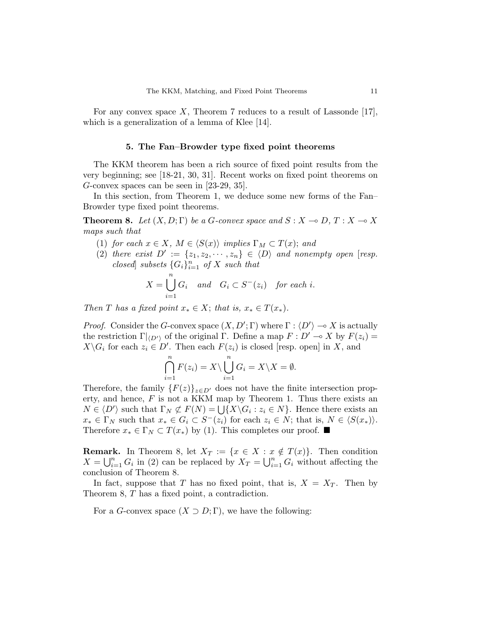For any convex space X, Theorem 7 reduces to a result of Lassonde  $[17]$ , which is a generalization of a lemma of Klee [14].

#### 5. The Fan–Browder type fixed point theorems

The KKM theorem has been a rich source of fixed point results from the very beginning; see [18-21, 30, 31]. Recent works on fixed point theorems on G-convex spaces can be seen in [23-29, 35].

In this section, from Theorem 1, we deduce some new forms of the Fan– Browder type fixed point theorems.

**Theorem 8.** Let  $(X, D; \Gamma)$  be a G-convex space and  $S: X \to D, T: X \to X$ maps such that

- (1) for each  $x \in X$ ,  $M \in \langle S(x) \rangle$  implies  $\Gamma_M \subset T(x)$ ; and
- (2) there exist  $D' := \{z_1, z_2, \dots, z_n\} \in \langle D \rangle$  and nonempty open [resp. closed subsets  $\{G_i\}_{i=1}^n$  of X such that

$$
X = \bigcup_{i=1}^{n} G_i \quad and \quad G_i \subset S^-(z_i) \quad \text{for each } i.
$$

Then T has a fixed point  $x_* \in X$ ; that is,  $x_* \in T(x_*)$ .

*Proof.* Consider the G-convex space  $(X, D'; \Gamma)$  where  $\Gamma : \langle D' \rangle \to X$  is actually the restriction  $\Gamma|_{\langle D'\rangle}$  of the original Γ. Define a map  $F : D' \to X$  by  $F(z_i) =$  $X\backslash G_i$  for each  $z_i \in D'$ . Then each  $F(z_i)$  is closed [resp. open] in X, and

$$
\bigcap_{i=1}^{n} F(z_i) = X \setminus \bigcup_{i=1}^{n} G_i = X \setminus X = \emptyset.
$$

Therefore, the family  $\{F(z)\}_{z\in D}$  does not have the finite intersection property, and hence,  $F$  is not a KKM map by Theorem 1. Thus there exists an erty, and nence,  $F$  is not a KKM map by Theorem 1. Thus there exists an  $N \in \langle D' \rangle$  such that  $\Gamma_N \not\subset F(N) = \bigcup \{X \setminus G_i : z_i \in N\}$ . Hence there exists an  $x_* \in \Gamma_N$  such that  $x_* \in G_i \subset S^-(z_i)$  for each  $z_i \in N$ ; that is,  $N \in \langle S(x_*) \rangle$ . Therefore  $x_* \in \Gamma_N \subset T(x_*)$  by (1). This completes our proof. ■

**Remark.** In Theorem 8, let  $X_T := \{x \in X : x \notin T(x)\}\$ . Then condition  $Y = \prod_{i=1}^{n} C_i$  is (2) can be replaced by  $Y = \prod_{i=1}^{n} C_i$  without effective the  $X = \bigcup_{i=1}^{n} G_i$  in (2) can be replaced by  $X_T = \bigcup_{i=1}^{n} G_i$  without affecting the conclusion of Theorem 8.

In fact, suppose that T has no fixed point, that is,  $X = X_T$ . Then by Theorem 8, T has a fixed point, a contradiction.

For a *G*-convex space  $(X \supset D; \Gamma)$ , we have the following: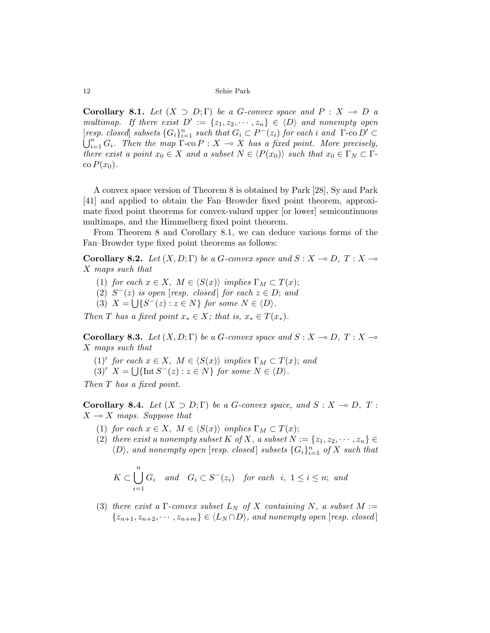Corollary 8.1. Let  $(X \supset D; \Gamma)$  be a G-convex space and  $P: X \to D$  a multimap. If there exist  $D' := \{z_1, z_2, \dots, z_n\} \in \langle D \rangle$  and nonempty open [resp. closed] subsets  $\{G_i\}_{i=1}^n$  such that  $G_i \subset P^-(z_i)$  for each i and  $\Gamma$ -co  $D' \subset \mathbb{R}^n$ .  $G = T$  with a wave  $\Gamma$  and  $Y$  is a subset of unit of the properties of  $\Gamma$  $\sum_{i=1}^{n} G_i$ . Then the map  $\Gamma$ -co  $P : X \to X$  has a fixed point. More precisely, there exist a point  $x_0 \in X$  and a subset  $N \in \langle P(x_0) \rangle$  such that  $x_0 \in \Gamma_N \subset \Gamma$ - $\cos P(x_0)$ .

A convex space version of Theorem 8 is obtained by Park [28], Sy and Park [41] and applied to obtain the Fan–Browder fixed point theorem, approximate fixed point theorems for convex-valued upper [or lower] semicontinuous multimaps, and the Himmelberg fixed point theorem.

From Theorem 8 and Corollary 8.1, we can deduce various forms of the Fan–Browder type fixed point theorems as follows:

Corollary 8.2. Let  $(X, D; \Gamma)$  be a G-convex space and  $S : X \to D, T : X \to \mathbb{R}$ X maps such that

- (1) for each  $x \in X$ ,  $M \in \langle S(x) \rangle$  implies  $\Gamma_M \subset T(x)$ ;
- (2)  $S^{-}(z)$  is open [resp. closed] for each  $z \in D$ ; and
- (3)  $X = \bigcup \{ S^-(z) : z \in N \}$  for some  $N \in \langle D \rangle$ .

Then T has a fixed point  $x_* \in X$ ; that is,  $x_* \in T(x_*)$ .

**Corollary 8.3.** Let  $(X, D; \Gamma)$  be a G-convex space and  $S : X \to D, T : X \to \mathbb{R}$ X maps such that

- (1)' for each  $x \in X$ ,  $M \in \langle S(x) \rangle$  implies  $\Gamma_M \subset T(x)$ ; and
- (3)'  $X = \bigcup \{ \text{Int } S^{-}(z) : z \in N \}$  for some  $N \in \langle D \rangle$ .

Then T has a fixed point.

**Corollary 8.4.** Let  $(X \supset D; \Gamma)$  be a G-convex space, and  $S: X \to D, T$ :  $X \rightarrow X$  maps. Suppose that

- (1) for each  $x \in X$ ,  $M \in \langle S(x) \rangle$  implies  $\Gamma_M \subset T(x)$ ;
- (2) there exist a nonempty subset K of X, a subset  $N := \{z_1, z_2, \dots, z_n\} \in$  $\langle D \rangle$ , and nonempty open [resp. closed] subsets  $\{G_i\}_{i=1}^n$  of X such that

$$
K \subset \bigcup_{i=1}^{n} G_i \quad and \quad G_i \subset S^-(z_i) \quad \text{for each } i, \ 1 \le i \le n; \ and
$$

(3) there exist a  $\Gamma$ -convex subset  $L_N$  of X containing N, a subset  $M :=$  $\{z_{n+1}, z_{n+2}, \cdots, z_{n+m}\}\in \langle L_N \cap D \rangle$ , and nonempty open [resp. closed]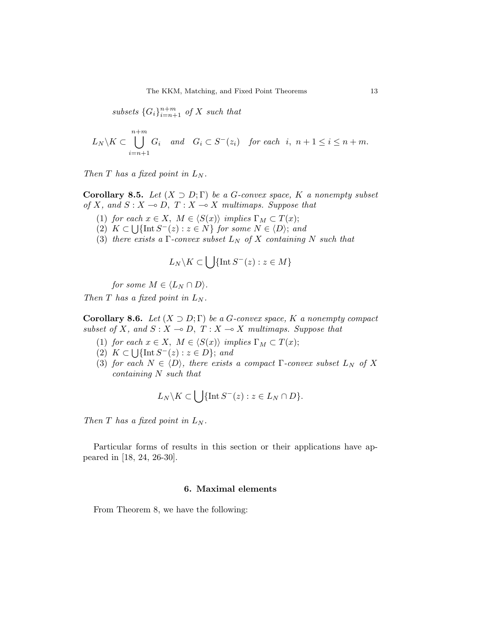subsets  $\{G_i\}_{i=n+1}^{n+m}$  of X such that

$$
L_N\setminus K\subset \bigcup_{i=n+1}^{n+m} G_i
$$
 and  $G_i\subset S^-(z_i)$  for each  $i, n+1 \leq i \leq n+m$ .

Then  $T$  has a fixed point in  $L_N$ .

**Corollary 8.5.** Let  $(X \supset D; \Gamma)$  be a G-convex space, K a nonempty subset of X, and  $S : X \to D$ ,  $T : X \to X$  multimaps. Suppose that

- (1) for each  $x \in X$ ,  $M \in \langle S(x) \rangle$  implies  $\Gamma_M \subset T(x)$ ;
- (2)  $K \subset \bigcup \{ \text{Int } S^{-}(z) : z \in N \}$  for some  $N \in \langle D \rangle$ ; and
- (3) there exists a  $\Gamma$ -convex subset  $L_N$  of X containing N such that

$$
L_N \backslash K \subset \bigcup \{\text{Int } S^-(z) : z \in M\}
$$

for some  $M \in \langle L_N \cap D \rangle$ .

Then  $T$  has a fixed point in  $L_N$ .

**Corollary 8.6.** Let  $(X \supset D; \Gamma)$  be a G-convex space, K a nonempty compact subset of X, and  $S : X \to D$ ,  $T : X \to X$  multimaps. Suppose that

- (1) for each  $x \in X$ ,  $M \in \langle S(x) \rangle$  implies  $\Gamma_M \subset T(x)$ ;
- (2)  $K \subset \bigcup \{\text{Int } S^-(z) : z \in D\};$  and
- (3) for each  $N \in \langle D \rangle$ , there exists a compact Γ-convex subset  $L_N$  of X containing N such that

$$
L_N \backslash K \subset \bigcup \{ \text{Int } S^-(z) : z \in L_N \cap D \}.
$$

Then T has a fixed point in  $L_N$ .

Particular forms of results in this section or their applications have appeared in [18, 24, 26-30].

# 6. Maximal elements

From Theorem 8, we have the following: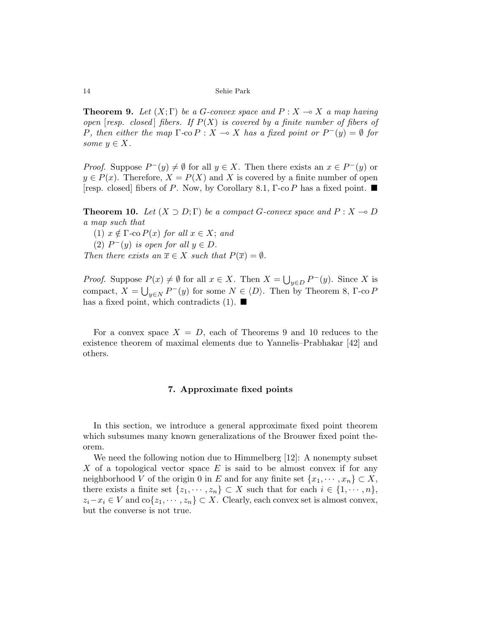**Theorem 9.** Let  $(X; \Gamma)$  be a G-convex space and  $P: X \to X$  a map having open [resp. closed] fibers. If  $P(X)$  is covered by a finite number of fibers of P, then either the map  $\Gamma$ -co  $P : X \to X$  has a fixed point or  $P^-(y) = \emptyset$  for some  $y \in X$ .

*Proof.* Suppose  $P^-(y) \neq \emptyset$  for all  $y \in X$ . Then there exists an  $x \in P^-(y)$  or  $y \in P(x)$ . Therefore,  $X = P(X)$  and X is covered by a finite number of open [resp. closed] fibers of P. Now, by Corollary 8.1,  $\Gamma$ -co P has a fixed point.  $\blacksquare$ 

**Theorem 10.** Let  $(X \supset D; \Gamma)$  be a compact G-convex space and  $P: X \to D$ a map such that

(1)  $x \notin \Gamma$ -co  $P(x)$  for all  $x \in X$ ; and

(2)  $P^-(y)$  is open for all  $y \in D$ .

Then there exists an  $\overline{x} \in X$  such that  $P(\overline{x}) = \emptyset$ .

*Proof.* Suppose  $P(x) \neq \emptyset$  for all  $x \in X$ . Then  $X =$ S  $P(x) \neq \emptyset$  for all  $x \in X$ . Then  $X = \bigcup_{y \in D} P^-(y)$ . Since X is compact,  $X = \bigcup_{y \in N} P^-(y)$  for some  $N \in \langle D \rangle$ . Then by Theorem 8,  $\Gamma$ -co P has a fixed point, which contradicts (1).  $\blacksquare$ 

For a convex space  $X = D$ , each of Theorems 9 and 10 reduces to the existence theorem of maximal elements due to Yannelis–Prabhakar [42] and others.

## 7. Approximate fixed points

In this section, we introduce a general approximate fixed point theorem which subsumes many known generalizations of the Brouwer fixed point theorem.

We need the following notion due to Himmelberg [12]: A nonempty subset X of a topological vector space  $E$  is said to be almost convex if for any neighborhood V of the origin 0 in E and for any finite set  $\{x_1, \dots, x_n\} \subset X$ , there exists a finite set  $\{z_1, \dots, z_n\} \subset X$  such that for each  $i \in \{1, \dots, n\}$ ,  $z_i-x_i \in V$  and  $\text{co}\{z_1,\dots,z_n\} \subset X$ . Clearly, each convex set is almost convex, but the converse is not true.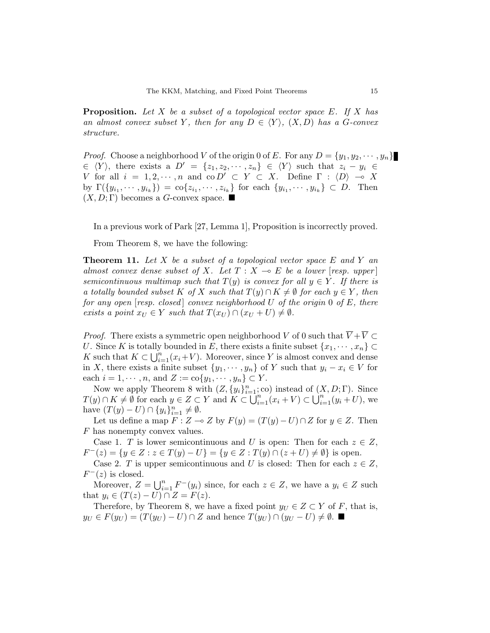**Proposition.** Let X be a subset of a topological vector space  $E$ . If X has an almost convex subset Y, then for any  $D \in \langle Y \rangle$ ,  $(X, D)$  has a G-convex structure.

*Proof.* Choose a neighborhood V of the origin 0 of E. For any  $D = \{y_1, y_2, \dots, y_n\}$  $\in \langle Y \rangle$ , there exists a  $D' = \{z_1, z_2, \cdots, z_n\} \in \langle Y \rangle$  such that  $z_i - y_i \in$ V for all  $i = 1, 2, \dots, n$  and  $\overline{co} D' \subset Y \subset X$ . Define  $\Gamma : \langle D \rangle \to X$ by  $\Gamma(\{y_{i_1}, \dots, y_{i_k}\}) = \text{co}\{z_{i_1}, \dots, z_{i_k}\}\$  for each  $\{y_{i_1}, \dots, y_{i_k}\} \subset D$ . Then  $(X, D; \Gamma)$  becomes a G-convex space.

In a previous work of Park [27, Lemma 1], Proposition is incorrectly proved.

From Theorem 8, we have the following:

**Theorem 11.** Let X be a subset of a topological vector space  $E$  and  $Y$  and almost convex dense subset of X. Let  $T : X \to E$  be a lower [resp. upper] semicontinuous multimap such that  $T(y)$  is convex for all  $y \in Y$ . If there is a totally bounded subset K of X such that  $T(y) \cap K \neq \emptyset$  for each  $y \in Y$ , then for any open [resp. closed] convex neighborhood  $U$  of the origin 0 of  $E$ , there exists a point  $x_U \in Y$  such that  $T(x_U) \cap (x_U + U) \neq \emptyset$ .

*Proof.* There exists a symmetric open neighborhood V of 0 such that  $\overline{V} + \overline{V} \subset$ U. Since K is totally bounded in E, there exists a finite subset  $\{x_1, \dots, x_n\} \subset$ <br>K such that  $K \subset \mathbb{H}^n$  ( $x \in \mathbb{R}^n$ ). Moreover, since K is almost convey and dependent K such that  $K \subset \bigcup_{i=1}^{n} (x_i + V)$ . Moreover, since Y is almost convex and dense in X, there exists a finite subset  $\{y_1, \dots, y_n\}$  of Y such that  $y_i - x_i \in V$  for each  $i = 1, \dots, n$ , and  $Z := \text{co}\{y_1, \dots, y_n\} \subset Y$ .

Now we apply Theorem 8 with  $(Z, \{y_i\}_{i=1}^n; \text{co})$  instead of  $(X, D; \Gamma)$ . Since  $T(y) \cap K \neq \emptyset$  for each  $y \in Z \subset Y$  and  $K \subset \bigcup_{i=1}^{n} (x_i + V) \subset \bigcup_{i=1}^{n} (y_i + U)$ , we have  $(T(y) - U) \cap \{y_i\}_{i=1}^n \neq \emptyset$ .

Let us define a map  $F : Z \multimap Z$  by  $F(y) = (T(y) - U) \cap Z$  for  $y \in Z$ . Then F has nonempty convex values.

Case 1. T is lower semicontinuous and U is open: Then for each  $z \in Z$ ,  $F^{-}(z) = \{ y \in Z : z \in T(y) - U \} = \{ y \in Z : T(y) \cap (z + U) \neq \emptyset \}$  is open.

Case 2. T is upper semicontinuous and U is closed: Then for each  $z \in Z$ ,  $F^{-}(z)$  is closed.

(z) is closed.<br>Moreover,  $Z = \bigcup_{i=1}^{n} Z_i$  $_{i=1}^{n} F^{-}(y_i)$  since, for each  $z \in Z$ , we have a  $y_i \in Z$  such that  $y_i \in (T(z) - U) \cap Z = F(z)$ .

Therefore, by Theorem 8, we have a fixed point  $y_U \in Z \subset Y$  of F, that is,  $y_U \in F(y_U) = (T(y_U) - U) \cap Z$  and hence  $T(y_U) \cap (y_U - U) \neq \emptyset$ .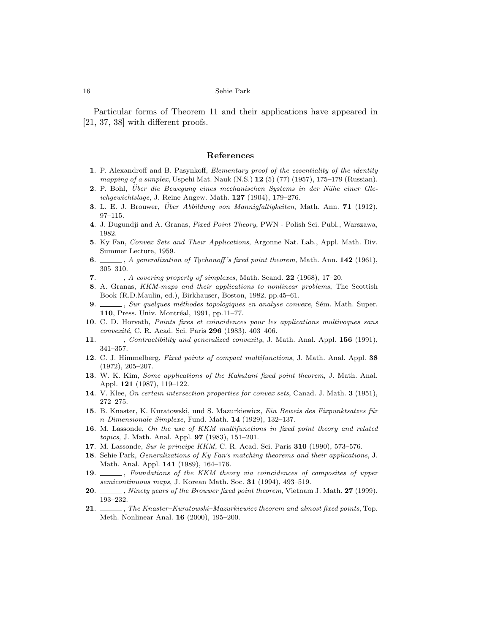Particular forms of Theorem 11 and their applications have appeared in [21, 37, 38] with different proofs.

#### References

- 1. P. Alexandroff and B. Pasynkoff, Elementary proof of the essentiality of the identity mapping of a simplex, Uspehi Mat. Nauk (N.S.) **12** (5) (77) (1957), 175-179 (Russian).
- 2. P. Bohl, Über die Bewegung eines mechanischen Systems in der Nähe einer Gleichgewichtslage, J. Reine Angew. Math. 127 (1904), 179–276.
- 3. L. E. J. Brouwer, Über Abbildung von Mannigfaltigkeiten, Math. Ann.  $71$  (1912), 97–115.
- 4. J. Dugundji and A. Granas, Fixed Point Theory, PWN Polish Sci. Publ., Warszawa, 1982.
- 5. Ky Fan, Convex Sets and Their Applications, Argonne Nat. Lab., Appl. Math. Div. Summer Lecture, 1959.
- 6.  $\ldots$ , A generalization of Tychonoff's fixed point theorem, Math. Ann. 142 (1961), 305–310.
- 7.  $\frac{1}{2}$ , A covering property of simplexes, Math. Scand. 22 (1968), 17–20.
- 8. A. Granas, KKM-maps and their applications to nonlinear problems, The Scottish Book (R.D.Maulin, ed.), Birkhauser, Boston, 1982, pp.45–61.
- 9.  $\frac{1}{2}$ , Sur quelques méthodes topologiques en analyse convexe, Sém. Math. Super. 110, Press. Univ. Montréal, 1991, pp.11–77.
- 10. C. D. Horvath, Points fixes et coincidences pour les applications multivoques sans convexité, C. R. Acad. Sci. Paris 296 (1983), 403-406.
- 11. Contractibility and generalized convexity, J. Math. Anal. Appl. 156 (1991), 341–357.
- 12. C. J. Himmelberg, Fixed points of compact multifunctions, J. Math. Anal. Appl. 38 (1972), 205–207.
- 13. W. K. Kim, Some applications of the Kakutani fixed point theorem, J. Math. Anal. Appl. 121 (1987), 119–122.
- 14. V. Klee, On certain intersection properties for convex sets, Canad. J. Math. 3 (1951), 272–275.
- 15. B. Knaster, K. Kuratowski, und S. Mazurkiewicz, Ein Beweis des Fixpunktsatzes für n-Dimensionale Simplexe, Fund. Math. 14 (1929), 132–137.
- 16. M. Lassonde, On the use of KKM multifunctions in fixed point theory and related topics, J. Math. Anal. Appl. 97 (1983), 151–201.
- 17. M. Lassonde, Sur le principe KKM, C. R. Acad. Sci. Paris 310 (1990), 573–576.
- 18. Sehie Park, Generalizations of Ky Fan's matching theorems and their applications, J. Math. Anal. Appl. 141 (1989), 164–176.
- 19.  $\Box$ , Foundations of the KKM theory via coincidences of composites of upper semicontinuous maps, J. Korean Math. Soc. 31 (1994), 493–519.
- 20. *Simergen Winety years of the Brouwer fixed point theorem*, Vietnam J. Math. 27 (1999), 193–232.
- 21.  $\ldots$ , The Knaster–Kuratowski–Mazurkiewicz theorem and almost fixed points, Top. Meth. Nonlinear Anal. 16 (2000), 195–200.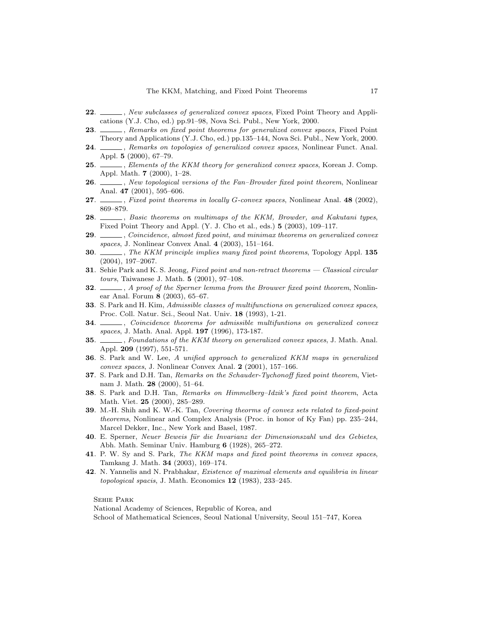- 22. Same Shew subclasses of generalized convex spaces, Fixed Point Theory and Applications (Y.J. Cho, ed.) pp.91–98, Nova Sci. Publ., New York, 2000.
- 23. Superior 2. Remarks on fixed point theorems for generalized convex spaces, Fixed Point Theory and Applications (Y.J. Cho, ed.) pp.135–144, Nova Sci. Publ., New York, 2000.
- 24.  $\quad \qquad$ , Remarks on topologies of generalized convex spaces, Nonlinear Funct. Anal. Appl. 5 (2000), 67–79.
- 25. Selements of the KKM theory for generalized convex spaces, Korean J. Comp. Appl. Math. 7 (2000), 1–28.
- 26. Same in the University of the Fan–Browder fixed point theorem, Nonlinear Anal. 47 (2001), 595–606.
- 27.  $\ldots$ , Fixed point theorems in locally G-convex spaces, Nonlinear Anal. 48 (2002), 869–879.
- 28.  $\_\_\_\$ n, Basic theorems on multimaps of the KKM, Browder, and Kakutani types, Fixed Point Theory and Appl. (Y. J. Cho et al., eds.) 5 (2003), 109–117.
- 29. Solutional point, and minimax theorems on generalized convex spaces, J. Nonlinear Convex Anal. 4 (2003), 151–164.
- 30.  $\_\_\_\$ n, The KKM principle implies many fixed point theorems, Topology Appl. 135 (2004), 197–2067.
- 31. Sehie Park and K. S. Jeong, Fixed point and non-retract theorems Classical circular tours, Taiwanese J. Math. 5 (2001), 97–108.
- 32.  $\ldots$ , A proof of the Sperner lemma from the Brouwer fixed point theorem, Nonlinear Anal. Forum 8 (2003), 65–67.
- 33. S. Park and H. Kim, Admissible classes of multifunctions on generalized convex spaces, Proc. Coll. Natur. Sci., Seoul Nat. Univ. 18 (1993), 1-21.
- 34. Solutional coincidence theorems for admissible multifuntions on generalized convex spaces, J. Math. Anal. Appl. 197 (1996), 173-187.
- 35. Summations of the KKM theory on generalized convex spaces, J. Math. Anal. Appl. 209 (1997), 551-571.
- 36. S. Park and W. Lee, A unified approach to generalized KKM maps in generalized convex spaces, J. Nonlinear Convex Anal. 2 (2001), 157–166.
- 37. S. Park and D.H. Tan, Remarks on the Schauder-Tychonoff fixed point theorem, Vietnam J. Math. 28 (2000), 51–64.
- 38. S. Park and D.H. Tan, Remarks on Himmelberg–Idzik's fixed point theorem, Acta Math. Viet. 25 (2000), 285–289.
- 39. M.-H. Shih and K. W.-K. Tan, Covering theorms of convex sets related to fixed-point theorems, Nonlinear and Complex Analysis (Proc. in honor of Ky Fan) pp. 235–244, Marcel Dekker, Inc., New York and Basel, 1987.
- 40. E. Sperner, Neuer Beweis für die Invarianz der Dimensionszahl und des Gebietes, Abh. Math. Seminar Univ. Hamburg 6 (1928), 265–272.
- 41. P. W. Sy and S. Park, The KKM maps and fixed point theorems in convex spaces, Tamkang J. Math. 34 (2003), 169–174.
- 42. N. Yannelis and N. Prabhakar, Existence of maximal elements and equilibria in linear topological spacis, J. Math. Economics 12 (1983), 233–245.

National Academy of Sciences, Republic of Korea, and School of Mathematical Sciences, Seoul National University, Seoul 151–747, Korea